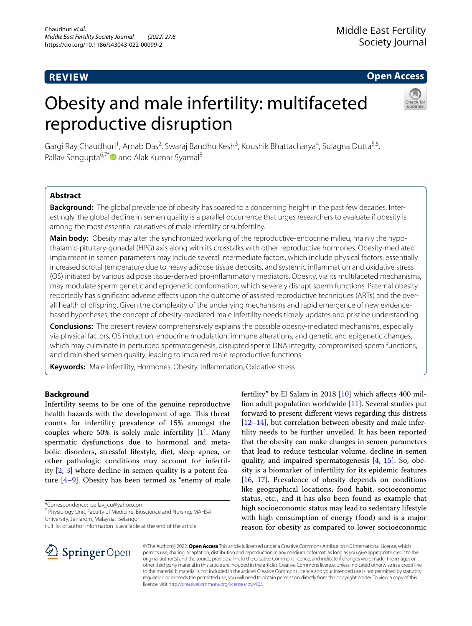# **REVIEW**

**Open Access**

# Obesity and male infertility: multifaceted reproductive disruption



Gargi Ray Chaudhuri<sup>1</sup>, Arnab Das<sup>2</sup>, Swaraj Bandhu Kesh<sup>3</sup>, Koushik Bhattacharya<sup>4</sup>, Sulagna Dutta<sup>5,6</sup>, Pallav Sengupta<sup>6,7[\\*](http://orcid.org/0000-0002-1928-5048)</sup> and Alak Kumar Syamal<sup>8</sup>

# **Abstract**

**Background:** The global prevalence of obesity has soared to a concerning height in the past few decades. Interestingly, the global decline in semen quality is a parallel occurrence that urges researchers to evaluate if obesity is among the most essential causatives of male infertility or subfertility.

**Main body:** Obesity may alter the synchronized working of the reproductive-endocrine milieu, mainly the hypothalamic-pituitary-gonadal (HPG) axis along with its crosstalks with other reproductive hormones. Obesity-mediated impairment in semen parameters may include several intermediate factors, which include physical factors, essentially increased scrotal temperature due to heavy adipose tissue deposits, and systemic infammation and oxidative stress (OS) initiated by various adipose tissue-derived pro-infammatory mediators. Obesity, via its multifaceted mechanisms, may modulate sperm genetic and epigenetic conformation, which severely disrupt sperm functions. Paternal obesity reportedly has signifcant adverse efects upon the outcome of assisted reproductive techniques (ARTs) and the overall health of ofspring. Given the complexity of the underlying mechanisms and rapid emergence of new evidencebased hypotheses, the concept of obesity-mediated male infertility needs timely updates and pristine understanding.

**Conclusions:** The present review comprehensively explains the possible obesity-mediated mechanisms, especially via physical factors, OS induction, endocrine modulation, immune alterations, and genetic and epigenetic changes, which may culminate in perturbed spermatogenesis, disrupted sperm DNA integrity, compromised sperm functions, and diminished semen quality, leading to impaired male reproductive functions.

**Keywords:** Male infertility, Hormones, Obesity, Infammation, Oxidative stress

# **Background**

Infertility seems to be one of the genuine reproductive health hazards with the development of age. This threat counts for infertility prevalence of 15% amongst the couples where 50% is solely male infertility [\[1](#page-7-0)]. Many spermatic dysfunctions due to hormonal and metabolic disorders, stressful lifestyle, diet, sleep apnea, or other pathologic conditions may account for infertility [\[2](#page-7-1), [3\]](#page-7-2) where decline in semen quality is a potent feature [\[4–](#page-7-3)[9\]](#page-7-4). Obesity has been termed as "enemy of male

\*Correspondence: pallav\_cu@yahoo.com

<sup>7</sup> Physiology Unit, Faculty of Medicine, Bioscience and Nursing, MAHSA University, Jenjarom, Malaysia, Selangor

fertility" by El Salam in 2018 [\[10](#page-7-5)] which afects 400 million adult population worldwide [\[11](#page-7-6)]. Several studies put forward to present diferent views regarding this distress [[12–](#page-7-7)[14\]](#page-8-0), but correlation between obesity and male infertility needs to be further unveiled. It has been reported that the obesity can make changes in semen parameters that lead to reduce testicular volume, decline in semen quality, and impaired spermatogenesis [\[4](#page-7-3), [15](#page-8-1)]. So, obesity is a biomarker of infertility for its epidemic features [[16,](#page-8-2) [17\]](#page-8-3). Prevalence of obesity depends on conditions like geographical locations, food habit, socioeconomic status, etc., and it has also been found as example that high socioeconomic status may lead to sedentary lifestyle with high consumption of energy (food) and is a major reason for obesity as compared to lower socioeconomic



© The Author(s) 2022. **Open Access** This article is licensed under a Creative Commons Attribution 4.0 International License, which permits use, sharing, adaptation, distribution and reproduction in any medium or format, as long as you give appropriate credit to the original author(s) and the source, provide a link to the Creative Commons licence, and indicate if changes were made. The images or other third party material in this article are included in the article's Creative Commons licence, unless indicated otherwise in a credit line to the material. If material is not included in the article's Creative Commons licence and your intended use is not permitted by statutory regulation or exceeds the permitted use, you will need to obtain permission directly from the copyright holder. To view a copy of this licence, visit [http://creativecommons.org/licenses/by/4.0/.](http://creativecommons.org/licenses/by/4.0/)

Full list of author information is available at the end of the article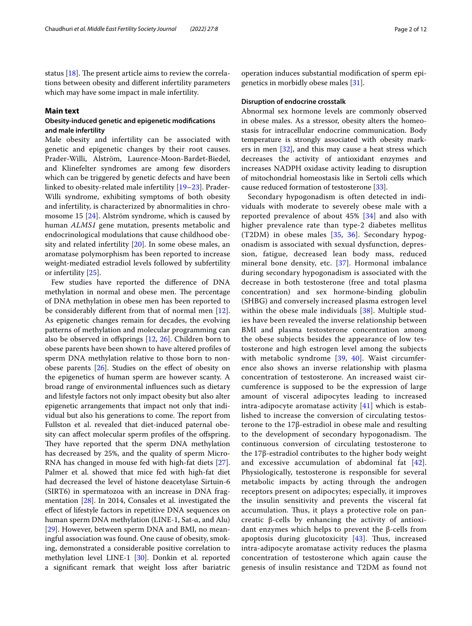status  $[18]$  $[18]$ . The present article aims to review the correlations between obesity and diferent infertility parameters which may have some impact in male infertility.

# **Main text**

# **Obesity‑induced genetic and epigenetic modifcations and male infertility**

Male obesity and infertility can be associated with genetic and epigenetic changes by their root causes. Prader-Willi, Alström, Laurence-Moon-Bardet-Biedel, and Klinefelter syndromes are among few disorders which can be triggered by genetic defects and have been linked to obesity-related male infertility [[19–](#page-8-5)[23\]](#page-8-6). Prader-Willi syndrome, exhibiting symptoms of both obesity and infertility, is characterized by abnormalities in chromosome 15 [[24\]](#page-8-7). Alström syndrome, which is caused by human *ALMS1* gene mutation, presents metabolic and endocrinological modulations that cause childhood obesity and related infertility [\[20](#page-8-8)]. In some obese males, an aromatase polymorphism has been reported to increase weight-mediated estradiol levels followed by subfertility or infertility [\[25](#page-8-9)].

Few studies have reported the diference of DNA methylation in normal and obese men. The percentage of DNA methylation in obese men has been reported to be considerably diferent from that of normal men [\[12](#page-7-7)]. As epigenetic changes remain for decades, the evolving patterns of methylation and molecular programming can also be observed in offsprings  $[12, 26]$  $[12, 26]$  $[12, 26]$  $[12, 26]$ . Children born to obese parents have been shown to have altered profles of sperm DNA methylation relative to those born to nonobese parents  $[26]$ . Studies on the effect of obesity on the epigenetics of human sperm are however scanty. A broad range of environmental infuences such as dietary and lifestyle factors not only impact obesity but also alter epigenetic arrangements that impact not only that individual but also his generations to come. The report from Fullston et al. revealed that diet-induced paternal obesity can affect molecular sperm profiles of the offspring. They have reported that the sperm DNA methylation has decreased by 25%, and the quality of sperm Micro-RNA has changed in mouse fed with high-fat diets [\[27](#page-8-11)]. Palmer et al. showed that mice fed with high-fat diet had decreased the level of histone deacetylase Sirtuin-6 (SIRT6) in spermatozoa with an increase in DNA fragmentation [\[28](#page-8-12)]. In 2014, Consales et al. investigated the efect of lifestyle factors in repetitive DNA sequences on human sperm DNA methylation (LINE-1, Sat-α, and Alu) [[29\]](#page-8-13). However, between sperm DNA and BMI, no meaningful association was found. One cause of obesity, smoking, demonstrated a considerable positive correlation to methylation level LINE-1 [[30](#page-8-14)]. Donkin et al. reported a signifcant remark that weight loss after bariatric operation induces substantial modifcation of sperm epigenetics in morbidly obese males [[31\]](#page-8-15).

# **Disruption of endocrine crosstalk**

Abnormal sex hormone levels are commonly observed in obese males. As a stressor, obesity alters the homeostasis for intracellular endocrine communication. Body temperature is strongly associated with obesity markers in men [\[32](#page-8-16)], and this may cause a heat stress which decreases the activity of antioxidant enzymes and increases NADPH oxidase activity leading to disruption of mitochondrial homeostasis like in Sertoli cells which cause reduced formation of testosterone [\[33](#page-8-17)].

Secondary hypogonadism is often detected in individuals with moderate to severely obese male with a reported prevalence of about 45% [\[34](#page-8-18)] and also with higher prevalence rate than type-2 diabetes mellitus (T2DM) in obese males [[35,](#page-8-19) [36\]](#page-8-20). Secondary hypogonadism is associated with sexual dysfunction, depression, fatigue, decreased lean body mass, reduced mineral bone density, etc. [\[37](#page-8-21)]. Hormonal imbalance during secondary hypogonadism is associated with the decrease in both testosterone (free and total plasma concentration) and sex hormone-binding globulin (SHBG) and conversely increased plasma estrogen level within the obese male individuals [[38\]](#page-8-22). Multiple studies have been revealed the inverse relationship between BMI and plasma testosterone concentration among the obese subjects besides the appearance of low testosterone and high estrogen level among the subjects with metabolic syndrome [[39](#page-8-23), [40\]](#page-8-24). Waist circumference also shows an inverse relationship with plasma concentration of testosterone. An increased waist circumference is supposed to be the expression of large amount of visceral adipocytes leading to increased intra-adipocyte aromatase activity  $[41]$  which is established to increase the conversion of circulating testosterone to the 17β-estradiol in obese male and resulting to the development of secondary hypogonadism. The continuous conversion of circulating testosterone to the 17β-estradiol contributes to the higher body weight and excessive accumulation of abdominal fat [[42](#page-8-26)]. Physiologically, testosterone is responsible for several metabolic impacts by acting through the androgen receptors present on adipocytes; especially, it improves the insulin sensitivity and prevents the visceral fat accumulation. Thus, it plays a protective role on pancreatic β-cells by enhancing the activity of antioxidant enzymes which helps to prevent the β-cells from apoptosis during glucotoxicity  $[43]$  $[43]$  $[43]$ . Thus, increased intra-adipocyte aromatase activity reduces the plasma concentration of testosterone which again cause the genesis of insulin resistance and T2DM as found not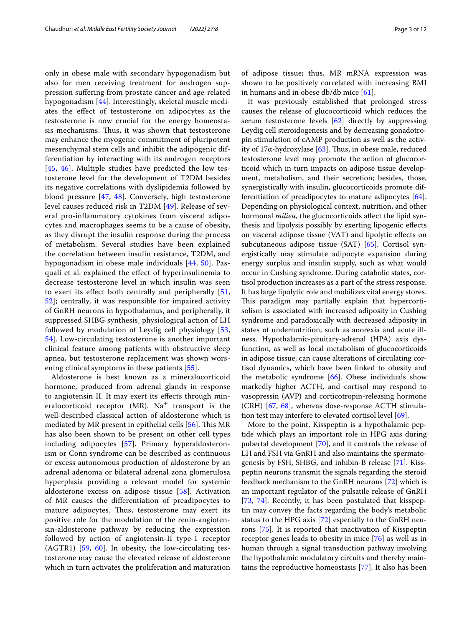only in obese male with secondary hypogonadism but also for men receiving treatment for androgen suppression sufering from prostate cancer and age-related hypogonadism [\[44](#page-8-28)]. Interestingly, skeletal muscle mediates the efect of testosterone on adipocytes as the testosterone is now crucial for the energy homeostasis mechanisms. Thus, it was shown that testosterone may enhance the myogenic commitment of pluripotent mesenchymal stem cells and inhibit the adipogenic differentiation by interacting with its androgen receptors [[45](#page-8-29), [46\]](#page-8-30). Multiple studies have predicted the low testosterone level for the development of T2DM besides its negative correlations with dyslipidemia followed by blood pressure [[47,](#page-8-31) [48](#page-8-32)]. Conversely, high testosterone level causes reduced risk in T2DM [[49\]](#page-8-33). Release of several pro-infammatory cytokines from visceral adipocytes and macrophages seems to be a cause of obesity, as they disrupt the insulin response during the process of metabolism. Several studies have been explained the correlation between insulin resistance, T2DM, and hypogonadism in obese male individuals [[44,](#page-8-28) [50](#page-8-34)]. Pasquali et al. explained the efect of hyperinsulinemia to decrease testosterone level in which insulin was seen to exert its efect both centrally and peripherally [\[51](#page-8-35), [52\]](#page-8-36); centrally, it was responsible for impaired activity of GnRH neurons in hypothalamus, and peripherally, it suppressed SHBG synthesis, physiological action of LH followed by modulation of Leydig cell physiology [\[53](#page-8-37), [54\]](#page-8-38). Low-circulating testosterone is another important clinical feature among patients with obstructive sleep apnea, but testosterone replacement was shown worsening clinical symptoms in these patients [[55\]](#page-8-39).

Aldosterone is best known as a mineralocorticoid hormone, produced from adrenal glands in response to angiotensin II. It may exert its efects through mineralocorticoid receptor (MR). Na<sup>+</sup> transport is the well-described classical action of aldosterone which is mediated by MR present in epithelial cells  $[56]$  $[56]$ . This MR has also been shown to be present on other cell types including adipocytes [[57\]](#page-8-41). Primary hyperaldosteronism or Conn syndrome can be described as continuous or excess autonomous production of aldosterone by an adrenal adenoma or bilateral adrenal zona glomerulosa hyperplasia providing a relevant model for systemic aldosterone excess on adipose tissue [\[58](#page-9-0)]. Activation of MR causes the diferentiation of preadipocytes to mature adipocytes. Thus, testosterone may exert its positive role for the modulation of the renin-angiotensin-aldosterone pathway by reducing the expression followed by action of angiotensin-II type-1 receptor (AGTR1) [\[59](#page-9-1), [60\]](#page-9-2). In obesity, the low-circulating testosterone may cause the elevated release of aldosterone which in turn activates the proliferation and maturation of adipose tissue; thus, MR mRNA expression was shown to be positively correlated with increasing BMI in humans and in obese db/db mice [[61\]](#page-9-3).

It was previously established that prolonged stress causes the release of glucocorticoid which reduces the serum testosterone levels [[62](#page-9-4)] directly by suppressing Leydig cell steroidogenesis and by decreasing gonadotropin stimulation of cAMP production as well as the activity of 17 $\alpha$ -hydroxylase [\[63](#page-9-5)]. Thus, in obese male, reduced testosterone level may promote the action of glucocorticoid which in turn impacts on adipose tissue development, metabolism, and their secretion; besides, those, synergistically with insulin, glucocorticoids promote differentiation of preadipocytes to mature adipocytes [\[64](#page-9-6)]. Depending on physiological context, nutrition, and other hormonal *milieu*, the glucocorticoids afect the lipid synthesis and lipolysis possibly by exerting lipogenic efects on visceral adipose tissue (VAT) and lipolytic efects on subcutaneous adipose tissue (SAT) [[65\]](#page-9-7). Cortisol synergistically may stimulate adipocyte expansion during energy surplus and insulin supply, such as what would occur in Cushing syndrome. During catabolic states, cortisol production increases as a part of the stress response. It has large lipolytic role and mobilizes vital energy stores. This paradigm may partially explain that hypercortisolism is associated with increased adiposity in Cushing syndrome and paradoxically with decreased adiposity in states of undernutrition, such as anorexia and acute illness. Hypothalamic-pituitary-adrenal (HPA) axis dysfunction, as well as local metabolism of glucocorticoids in adipose tissue, can cause alterations of circulating cortisol dynamics, which have been linked to obesity and the metabolic syndrome [[66\]](#page-9-8). Obese individuals show markedly higher ACTH, and cortisol may respond to vasopressin (AVP) and corticotropin-releasing hormone (CRH) [[67,](#page-9-9) [68](#page-9-10)], whereas dose-response ACTH stimulation test may interfere to elevated cortisol level [\[69\]](#page-9-11).

More to the point, Kisspeptin is a hypothalamic peptide which plays an important role in HPG axis during pubertal development [[70](#page-9-12)], and it controls the release of LH and FSH via GnRH and also maintains the spermatogenesis by FSH, SHBG, and inhibin-B release [[71](#page-9-13)]. Kisspeptin neurons transmit the signals regarding the steroid feedback mechanism to the GnRH neurons [[72\]](#page-9-14) which is an important regulator of the pulsatile release of GnRH [[73,](#page-9-15) [74](#page-9-16)]. Recently, it has been postulated that kisspeptin may convey the facts regarding the body's metabolic status to the HPG axis [\[72](#page-9-14)] especially to the GnRH neurons [\[75\]](#page-9-17). It is reported that inactivation of Kisspeptin receptor genes leads to obesity in mice [\[76](#page-9-18)] as well as in human through a signal transduction pathway involving the hypothalamic modulatory circuits and thereby maintains the reproductive homeostasis [\[77](#page-9-19)]. It also has been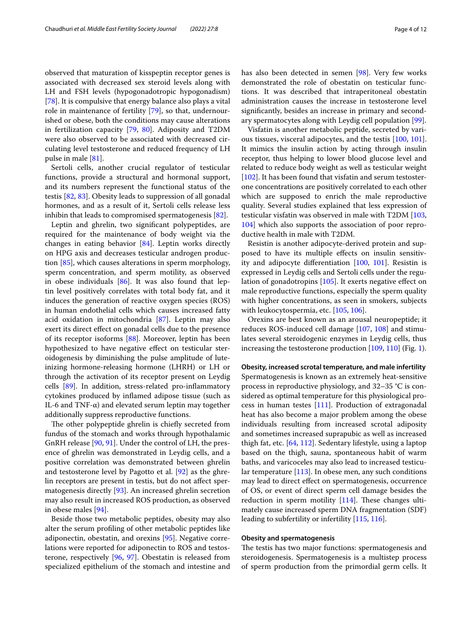observed that maturation of kisspeptin receptor genes is associated with decreased sex steroid levels along with LH and FSH levels (hypogonadotropic hypogonadism) [[78\]](#page-9-20). It is compulsive that energy balance also plays a vital role in maintenance of fertility [[79](#page-9-21)], so that, undernourished or obese, both the conditions may cause alterations in fertilization capacity [[79,](#page-9-21) [80](#page-9-22)]. Adiposity and T2DM were also observed to be associated with decreased circulating level testosterone and reduced frequency of LH pulse in male [\[81\]](#page-9-23).

Sertoli cells, another crucial regulator of testicular functions, provide a structural and hormonal support, and its numbers represent the functional status of the testis [[82,](#page-9-24) [83](#page-9-25)]. Obesity leads to suppression of all gonadal hormones, and as a result of it, Sertoli cells release less inhibin that leads to compromised spermatogenesis [[82](#page-9-24)].

Leptin and ghrelin, two signifcant polypeptides, are required for the maintenance of body weight via the changes in eating behavior [\[84](#page-9-26)]. Leptin works directly on HPG axis and decreases testicular androgen production [\[85\]](#page-9-27), which causes alterations in sperm morphology, sperm concentration, and sperm motility, as observed in obese individuals  $[86]$ . It was also found that leptin level positively correlates with total body fat, and it induces the generation of reactive oxygen species (ROS) in human endothelial cells which causes increased fatty acid oxidation in mitochondria [\[87\]](#page-9-29). Leptin may also exert its direct efect on gonadal cells due to the presence of its receptor isoforms [[88\]](#page-9-30). Moreover, leptin has been hypothesized to have negative efect on testicular steroidogenesis by diminishing the pulse amplitude of luteinizing hormone-releasing hormone (LHRH) or LH or through the activation of its receptor present on Leydig cells [\[89](#page-9-31)]. In addition, stress-related pro-infammatory cytokines produced by infamed adipose tissue (such as IL-6 and TNF-α) and elevated serum leptin may together additionally suppress reproductive functions.

The other polypeptide ghrelin is chiefly secreted from fundus of the stomach and works through hypothalamic GnRH release [[90,](#page-9-32) [91](#page-9-33)]. Under the control of LH, the presence of ghrelin was demonstrated in Leydig cells, and a positive correlation was demonstrated between ghrelin and testosterone level by Pagotto et al. [[92](#page-9-34)] as the ghrelin receptors are present in testis, but do not afect spermatogenesis directly [[93](#page-9-35)]. An increased ghrelin secretion may also result in increased ROS production, as observed in obese males [[94\]](#page-9-36).

Beside those two metabolic peptides, obesity may also alter the serum profling of other metabolic peptides like adiponectin, obestatin, and orexins [\[95\]](#page-9-37). Negative correlations were reported for adiponectin to ROS and testosterone, respectively [\[96](#page-9-38), [97\]](#page-9-39). Obestatin is released from specialized epithelium of the stomach and intestine and has also been detected in semen [\[98](#page-9-40)]. Very few works demonstrated the role of obestatin on testicular functions. It was described that intraperitoneal obestatin administration causes the increase in testosterone level signifcantly, besides an increase in primary and secondary spermatocytes along with Leydig cell population [[99\]](#page-9-41).

Visfatin is another metabolic peptide, secreted by various tissues, visceral adipocytes, and the testis [[100](#page-9-42), [101](#page-9-43)]. It mimics the insulin action by acting through insulin receptor, thus helping to lower blood glucose level and related to reduce body weight as well as testicular weight [[102\]](#page-9-44). It has been found that visfatin and serum testosterone concentrations are positively correlated to each other which are supposed to enrich the male reproductive quality. Several studies explained that less expression of testicular visfatin was observed in male with T2DM [[103](#page-9-45), [104](#page-10-0)] which also supports the association of poor reproductive health in male with T2DM.

Resistin is another adipocyte-derived protein and supposed to have its multiple effects on insulin sensitivity and adipocyte diferentiation [\[100](#page-9-42), [101\]](#page-9-43). Resistin is expressed in Leydig cells and Sertoli cells under the regulation of gonadotropins [\[105\]](#page-10-1). It exerts negative efect on male reproductive functions, especially the sperm quality with higher concentrations, as seen in smokers, subjects with leukocytospermia, etc. [\[105,](#page-10-1) [106](#page-10-2)].

Orexins are best known as an arousal neuropeptide; it reduces ROS-induced cell damage [[107](#page-10-3), [108](#page-10-4)] and stimulates several steroidogenic enzymes in Leydig cells, thus increasing the testosterone production [\[109,](#page-10-5) [110](#page-10-6)] (Fig. [1\)](#page-4-0).

**Obesity, increased scrotal temperature, and male infertility** Spermatogenesis is known as an extremely heat-sensitive process in reproductive physiology, and 32–35 °C is considered as optimal temperature for this physiological process in human testes [[111\]](#page-10-7). Production of extragonadal heat has also become a major problem among the obese individuals resulting from increased scrotal adiposity and sometimes increased suprapubic as well as increased thigh fat, etc. [\[64](#page-9-6), [112\]](#page-10-8). Sedentary lifestyle, using a laptop based on the thigh, sauna, spontaneous habit of warm baths, and varicoceles may also lead to increased testicular temperature [\[113](#page-10-9)]. In obese men, any such conditions may lead to direct efect on spermatogenesis, occurrence of OS, or event of direct sperm cell damage besides the reduction in sperm motility  $[114]$  $[114]$ . These changes ultimately cause increased sperm DNA fragmentation (SDF) leading to subfertility or infertility [[115](#page-10-11), [116\]](#page-10-12).

# **Obesity and spermatogenesis**

The testis has two major functions: spermatogenesis and steroidogenesis. Spermatogenesis is a multistep process of sperm production from the primordial germ cells. It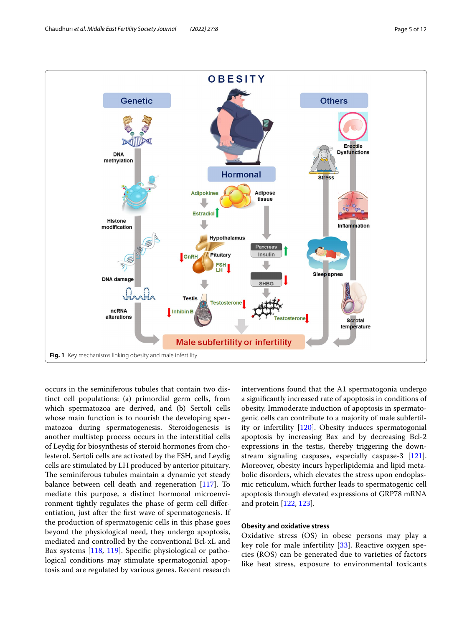

<span id="page-4-0"></span>occurs in the seminiferous tubules that contain two distinct cell populations: (a) primordial germ cells, from which spermatozoa are derived, and (b) Sertoli cells whose main function is to nourish the developing spermatozoa during spermatogenesis. Steroidogenesis is another multistep process occurs in the interstitial cells of Leydig for biosynthesis of steroid hormones from cholesterol. Sertoli cells are activated by the FSH, and Leydig cells are stimulated by LH produced by anterior pituitary. The seminiferous tubules maintain a dynamic yet steady balance between cell death and regeneration [\[117](#page-10-13)]. To mediate this purpose, a distinct hormonal microenvironment tightly regulates the phase of germ cell diferentiation, just after the frst wave of spermatogenesis. If the production of spermatogenic cells in this phase goes beyond the physiological need, they undergo apoptosis, mediated and controlled by the conventional Bcl-xL and Bax systems [\[118](#page-10-14), [119\]](#page-10-15). Specifc physiological or pathological conditions may stimulate spermatogonial apoptosis and are regulated by various genes. Recent research interventions found that the A1 spermatogonia undergo a signifcantly increased rate of apoptosis in conditions of obesity. Immoderate induction of apoptosis in spermatogenic cells can contribute to a majority of male subfertility or infertility [[120](#page-10-16)]. Obesity induces spermatogonial apoptosis by increasing Bax and by decreasing Bcl-2 expressions in the testis, thereby triggering the downstream signaling caspases, especially caspase-3 [\[121](#page-10-17)]. Moreover, obesity incurs hyperlipidemia and lipid metabolic disorders, which elevates the stress upon endoplasmic reticulum, which further leads to spermatogenic cell apoptosis through elevated expressions of GRP78 mRNA and protein [[122](#page-10-18), [123\]](#page-10-19).

# **Obesity and oxidative stress**

Oxidative stress (OS) in obese persons may play a key role for male infertility [[33](#page-8-17)]. Reactive oxygen species (ROS) can be generated due to varieties of factors like heat stress, exposure to environmental toxicants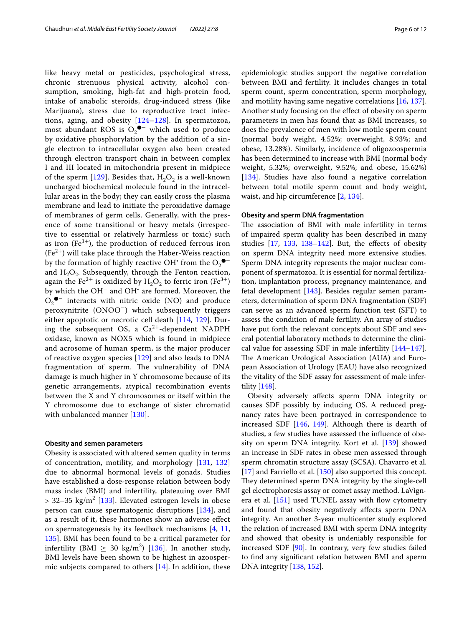like heavy metal or pesticides, psychological stress, chronic strenuous physical activity, alcohol consumption, smoking, high-fat and high-protein food, intake of anabolic steroids, drug-induced stress (like Marijuana), stress due to reproductive tract infections, aging, and obesity [[124–](#page-10-20)[128](#page-10-21)]. In spermatozoa, most abundant ROS is  $O_2^{\bullet-}$  which used to produce by oxidative phosphorylation by the addition of a single electron to intracellular oxygen also been created through electron transport chain in between complex I and III located in mitochondria present in midpiece of the sperm [\[129](#page-10-22)]. Besides that,  $H_2O_2$  is a well-known uncharged biochemical molecule found in the intracellular areas in the body; they can easily cross the plasma membrane and lead to initiate the peroxidative damage of membranes of germ cells. Generally, with the presence of some transitional or heavy metals (irrespective to essential or relatively harmless or toxic) such as iron ( $Fe^{3+}$ ), the production of reduced ferrous iron  $(Fe<sup>2+</sup>)$  will take place through the Haber-Weiss reaction by the formation of highly reactive OH<sup>•</sup> from the  $O_2^{\bullet -}$ and  $H_2O_2$ . Subsequently, through the Fenton reaction, again the Fe<sup>2+</sup> is oxidized by H<sub>2</sub>O<sub>2</sub> to ferric iron (Fe<sup>3+</sup>) by which the OH− and OH• are formed. Moreover, the  $O_2$ <sup>●−</sup> interacts with nitric oxide (NO) and produce peroxynitrite (ONOO−) which subsequently triggers either apoptotic or necrotic cell death [[114,](#page-10-10) [129\]](#page-10-22). During the subsequent OS, a  $Ca^{2+}$ -dependent NADPH oxidase, known as NOX5 which is found in midpiece and acrosome of human sperm, is the major producer of reactive oxygen species [\[129](#page-10-22)] and also leads to DNA fragmentation of sperm. The vulnerability of DNA damage is much higher in Y chromosome because of its genetic arrangements, atypical recombination events between the X and Y chromosomes or itself within the Y chromosome due to exchange of sister chromatid with unbalanced manner [\[130\]](#page-10-23).

## **Obesity and semen parameters**

Obesity is associated with altered semen quality in terms of concentration, motility, and morphology [[131,](#page-10-24) [132](#page-10-25)] due to abnormal hormonal levels of gonads. Studies have established a dose-response relation between body mass index (BMI) and infertility, plateauing over BMI  $>$  32–35 kg/m<sup>2</sup> [[133\]](#page-10-26). Elevated estrogen levels in obese person can cause spermatogenic disruptions [\[134](#page-10-27)], and as a result of it, these hormones show an adverse efect on spermatogenesis by its feedback mechanisms [[4,](#page-7-3) [11](#page-7-6), [135\]](#page-10-28). BMI has been found to be a critical parameter for infertility (BMI  $\geq 30 \text{ kg/m}^2$ ) [\[136](#page-10-29)]. In another study, BMI levels have been shown to be highest in azoospermic subjects compared to others [\[14](#page-8-0)]. In addition, these

epidemiologic studies support the negative correlation between BMI and fertility. It includes changes in total sperm count, sperm concentration, sperm morphology, and motility having same negative correlations [\[16](#page-8-2), [137](#page-10-30)]. Another study focusing on the efect of obesity on sperm parameters in men has found that as BMI increases, so does the prevalence of men with low motile sperm count (normal body weight, 4.52%; overweight, 8.93%; and obese, 13.28%). Similarly, incidence of oligozoospermia has been determined to increase with BMI (normal body weight, 5.32%; overweight, 9.52%; and obese, 15.62%) [[134\]](#page-10-27). Studies have also found a negative correlation between total motile sperm count and body weight, waist, and hip circumference [\[2](#page-7-1), [134\]](#page-10-27).

# **Obesity and sperm DNA fragmentation**

The association of BMI with male infertility in terms of impaired sperm quality has been described in many studies  $[17, 133, 138-142]$  $[17, 133, 138-142]$  $[17, 133, 138-142]$  $[17, 133, 138-142]$  $[17, 133, 138-142]$  $[17, 133, 138-142]$ . But, the effects of obesity on sperm DNA integrity need more extensive studies. Sperm DNA integrity represents the major nuclear component of spermatozoa. It is essential for normal fertilization, implantation process, pregnancy maintenance, and fetal development [[143](#page-10-33)]. Besides regular semen parameters, determination of sperm DNA fragmentation (SDF) can serve as an advanced sperm function test (SFT) to assess the condition of male fertility. An array of studies have put forth the relevant concepts about SDF and several potential laboratory methods to determine the clinical value for assessing SDF in male infertility [[144](#page-10-34)[–147](#page-10-35)]. The American Urological Association (AUA) and European Association of Urology (EAU) have also recognized the vitality of the SDF assay for assessment of male infertility [\[148\]](#page-10-36).

Obesity adversely afects sperm DNA integrity or causes SDF possibly by inducing OS. A reduced pregnancy rates have been portrayed in correspondence to increased SDF [\[146](#page-10-37), [149\]](#page-10-38). Although there is dearth of studies, a few studies have assessed the infuence of obesity on sperm DNA integrity. Kort et al. [\[139](#page-10-39)] showed an increase in SDF rates in obese men assessed through sperm chromatin structure assay (SCSA). Chavarro et al. [[17\]](#page-8-3) and Farriello et al. [\[150\]](#page-10-40) also supported this concept. They determined sperm DNA integrity by the single-cell gel electrophoresis assay or comet assay method. LaVign-era et al. [\[151](#page-10-41)] used TUNEL assay with flow cytometry and found that obesity negatively afects sperm DNA integrity. An another 3-year multicenter study explored the relation of increased BMI with sperm DNA integrity and showed that obesity is undeniably responsible for increased SDF [\[90\]](#page-9-32). In contrary, very few studies failed to fnd any signifcant relation between BMI and sperm DNA integrity [[138,](#page-10-31) [152\]](#page-10-42).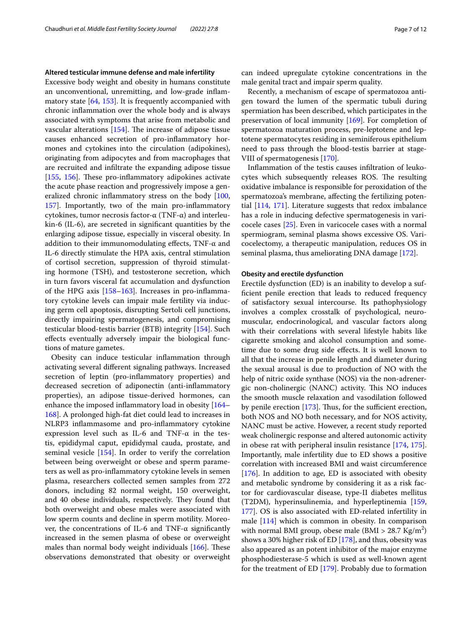### **Altered testicular immune defense and male infertility**

Excessive body weight and obesity in humans constitute an unconventional, unremitting, and low-grade infammatory state [\[64](#page-9-6), [153\]](#page-10-43). It is frequently accompanied with chronic infammation over the whole body and is always associated with symptoms that arise from metabolic and vascular alterations  $[154]$  $[154]$ . The increase of adipose tissue causes enhanced secretion of pro-infammatory hormones and cytokines into the circulation (adipokines), originating from adipocytes and from macrophages that are recruited and infltrate the expanding adipose tissue [[155,](#page-11-1) [156\]](#page-11-2). These pro-inflammatory adipokines activate the acute phase reaction and progressively impose a generalized chronic infammatory stress on the body [[100](#page-9-42), [157](#page-11-3)]. Importantly, two of the main pro-infammatory cytokines, tumor necrosis factor-α (TNF-α) and interleukin-6 (IL-6), are secreted in signifcant quantities by the enlarging adipose tissue, especially in visceral obesity. In addition to their immunomodulating effects, TNF- $\alpha$  and IL-6 directly stimulate the HPA axis, central stimulation of cortisol secretion, suppression of thyroid stimulating hormone (TSH), and testosterone secretion, which in turn favors visceral fat accumulation and dysfunction of the HPG axis  $[158-163]$  $[158-163]$ . Increases in pro-inflammatory cytokine levels can impair male fertility via inducing germ cell apoptosis, disrupting Sertoli cell junctions, directly impairing spermatogenesis, and compromising testicular blood-testis barrier (BTB) integrity [[154](#page-11-0)]. Such efects eventually adversely impair the biological functions of mature gametes.

Obesity can induce testicular infammation through activating several diferent signaling pathways. Increased secretion of leptin (pro-infammatory properties) and decreased secretion of adiponectin (anti-infammatory properties), an adipose tissue-derived hormones, can enhance the imposed infammatory load in obesity [[164–](#page-11-6) [168](#page-11-7)]. A prolonged high-fat diet could lead to increases in NLRP3 infammasome and pro-infammatory cytokine expression level such as IL-6 and TNF- $\alpha$  in the testis, epididymal caput, epididymal cauda, prostate, and seminal vesicle [\[154](#page-11-0)]. In order to verify the correlation between being overweight or obese and sperm parameters as well as pro-infammatory cytokine levels in semen plasma, researchers collected semen samples from 272 donors, including 82 normal weight, 150 overweight, and 40 obese individuals, respectively. They found that both overweight and obese males were associated with low sperm counts and decline in sperm motility. Moreover, the concentrations of IL-6 and TNF-α signifcantly increased in the semen plasma of obese or overweight males than normal body weight individuals  $[166]$  $[166]$ . These observations demonstrated that obesity or overweight can indeed upregulate cytokine concentrations in the male genital tract and impair sperm quality.

Recently, a mechanism of escape of spermatozoa antigen toward the lumen of the spermatic tubuli during spermiation has been described, which participates in the preservation of local immunity [\[169\]](#page-11-9). For completion of spermatozoa maturation process, pre-leptotene and leptotene spermatocytes residing in seminiferous epithelium need to pass through the blood-testis barrier at stage-VIII of spermatogenesis [[170](#page-11-10)].

Infammation of the testis causes infltration of leukocytes which subsequently releases ROS. The resulting oxidative imbalance is responsible for peroxidation of the spermatozoa's membrane, afecting the fertilizing potential [\[114](#page-10-10), [171\]](#page-11-11). Literature suggests that redox imbalance has a role in inducing defective spermatogenesis in varicocele cases [\[25](#page-8-9)]. Even in varicocele cases with a normal spermiogram, seminal plasma shows excessive OS. Varicocelectomy, a therapeutic manipulation, reduces OS in seminal plasma, thus ameliorating DNA damage [\[172](#page-11-12)].

# **Obesity and erectile dysfunction**

Erectile dysfunction (ED) is an inability to develop a suffcient penile erection that leads to reduced frequency of satisfactory sexual intercourse. Its pathophysiology involves a complex crosstalk of psychological, neuromuscular, endocrinological, and vascular factors along with their correlations with several lifestyle habits like cigarette smoking and alcohol consumption and sometime due to some drug side efects. It is well known to all that the increase in penile length and diameter during the sexual arousal is due to production of NO with the help of nitric oxide synthase (NOS) via the non-adrenergic non-cholinergic (NANC) activity. This NO induces the smooth muscle relaxation and vasodilation followed by penile erection  $[173]$  $[173]$ . Thus, for the sufficient erection, both NOS and NO both necessary, and for NOS activity, NANC must be active. However, a recent study reported weak cholinergic response and altered autonomic activity in obese rat with peripheral insulin resistance [[174](#page-11-14), [175](#page-11-15)]. Importantly, male infertility due to ED shows a positive correlation with increased BMI and waist circumference [[176\]](#page-11-16). In addition to age, ED is associated with obesity and metabolic syndrome by considering it as a risk factor for cardiovascular disease, type-II diabetes mellitus (T2DM), hyperinsulinemia, and hyperleptinemia [[159](#page-11-17), [177](#page-11-18)]. OS is also associated with ED-related infertility in male [\[114](#page-10-10)] which is common in obesity. In comparison with normal BMI group, obese male  $(BMI > 28.7 \text{ Kg/m}^2)$ shows a 30% higher risk of ED [[178](#page-11-19)], and thus, obesity was also appeared as an potent inhibitor of the major enzyme phosphodiesterase-5 which is used as well-known agent for the treatment of ED [\[179](#page-11-20)]. Probably due to formation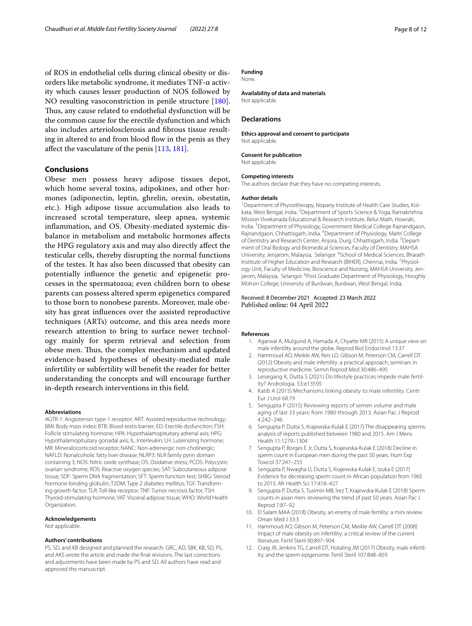of ROS in endothelial cells during clinical obesity or disorders like metabolic syndrome, it mediates TNF-α activity which causes lesser production of NOS followed by NO resulting vasoconstriction in penile structure [\[180](#page-11-21)]. Thus, any cause related to endothelial dysfunction will be the common cause for the erectile dysfunction and which also includes arteriolosclerosis and fbrous tissue resulting in altered to and from blood flow in the penis as they afect the vasculature of the penis [[113](#page-10-9), [181\]](#page-11-22).

# **Conclusions**

Obese men possess heavy adipose tissues depot, which home several toxins, adipokines, and other hormones (adiponectin, leptin, ghrelin, orexin, obestatin, etc.). High adipose tissue accumulation also leads to increased scrotal temperature, sleep apnea, systemic infammation, and OS. Obesity-mediated systemic disbalance in metabolism and metabolic hormones afects the HPG regulatory axis and may also directly afect the testicular cells, thereby disrupting the normal functions of the testes. It has also been discussed that obesity can potentially infuence the genetic and epigenetic processes in the spermatozoa; even children born to obese parents can possess altered sperm epigenetics compared to those born to nonobese parents. Moreover, male obesity has great infuences over the assisted reproductive techniques (ARTs) outcome, and this area needs more research attention to bring to surface newer technology mainly for sperm retrieval and selection from obese men. Thus, the complex mechanism and updated evidence-based hypotheses of obesity-mediated male infertility or subfertility will beneft the reader for better understanding the concepts and will encourage further in-depth research interventions in this feld.

#### **Abbreviations**

AGTR-1: Angiotensin type-1 receptor; ART: Assisted reproductive technology; BMI: Body mass index; BTB: Blood-testis barrier; ED: Erectile dysfunction; FSH: Follicle stimulating hormone; HPA: Hypothalamopituitary adrenal axis; HPG: Hypothalamopituitary gonadal axis; IL: Interleukin; LH: Luteinizing hormone; MR: Mineralocorticoid receptor; NANC: Non-adrenergic non-cholinergic; NAFLD: Nonalcoholic fatty liver disease; NLRP3: NLR family pyrin domain containing 3; NOS: Nitric oxide synthase; OS: Oxidative stress; PCOS: Polycystic ovarian syndrome; ROS: Reactive oxygen species; SAT: Subcutaneous adipose tissue; SDF: Sperm DNA fragmentation; SFT: Sperm function test; SHBG: Steroid hormone-binding globulin; T2DM: Type 2 diabetes mellitus; TGF: Transforming growth factor; TLR: Toll-like receptor; TNF: Tumor necrosis factor; TSH: Thyroid-stimulating hormone; VAT: Visceral adipose tissue; WHO: World Health Organization.

#### **Acknowledgements**

Not applicable.

#### **Authors' contributions**

PS, SD, and KB designed and planned the research. GRC, AD, SBK, KB, SD, PS, and AKS wrote the article and made the fnal revisions. The last corrections and adjustments have been made by PS and SD. All authors have read and approved the manuscript.

# **Funding**

None.

**Availability of data and materials** Not applicable.

#### **Declarations**

**Ethics approval and consent to participate** Not applicable.

# **Consent for publication**

Not applicable.

#### **Competing interests**

The authors declare that they have no competing interests.

#### **Author details**

<sup>1</sup> Department of Physiotherapy, Nopany Institute of Health Care Studies, Kolkata, West Bengal, India. <sup>2</sup> Department of Sports Science & Yoga, Ramakrishna Mission Vivekanada Educational & Research Institute, Belur Math, Howrah, India. 3 Department of Physiology, Government Medical College Rajnandgaon, Rajnandgaon, Chhattisgarh, India. <sup>4</sup> Department of Physiology, Maitri College of Dentistry and Research Center, Anjora, Durg, Chhattisgarh, India. <sup>5</sup> Department of Oral Biology and Biomedical Sciences, Faculty of Dentistry, MAHSA University, Jenjarom, Malaysia, Selangor. <sup>6</sup>School of Medical Sciences, Bharath Institute of Higher Education and Research (BIHER), Chennai, India.<sup>7</sup> Physiology Unit, Faculty of Medicine, Bioscience and Nursing, MAHSA University, Jenjarom, Malaysia, Selangor. <sup>8</sup> Post Graduate Department of Physiology, Hooghly Mohsin College, University of Burdwan, Burdwan, West Bengal, India.

## Received: 8 December 2021 Accepted: 23 March 2022 Published online: 04 April 2022

#### <span id="page-7-0"></span>**References**

- 1. Agarwal A, Mulgund A, Hamada A, Chyatte MR (2015) A unique view on male infertility around the globe. Reprod Biol Endocrinol 13:37
- <span id="page-7-1"></span>2. Hammoud AO, Meikle AW, Reis LO, Gibson M, Peterson CM, Carrell DT (2012) Obesity and male infertility: a practical approach, seminars in reproductive medicine. Semin Reprod Med 30:486–495
- <span id="page-7-2"></span>3. Leisegang K, Dutta S (2021) Do lifestyle practices impede male fertility? Andrologia. 53:e13595
- <span id="page-7-3"></span>4. Katib A (2015) Mechanisms linking obesity to male infertility. Centr Eur J Urol 68:79
- 5. Sengupta P (2015) Reviewing reports of semen volume and male aging of last 33 years: from 1980 through 2013. Asian Pac J Reprod 4:242–246
- 6. Sengupta P, Dutta S, Krajewska-Kulak E (2017) The disappearing sperms: analysis of reports published between 1980 and 2015. Am J Mens Health 11:1279–1304
- 7. Sengupta P, Borges E Jr, Dutta S, Krajewska-Kulak E (2018) Decline in sperm count in European men during the past 50 years. Hum Exp Toxicol 37:247–255
- 8. Sengupta P, Nwagha U, Dutta S, Krajewska-Kulak E, Izuka E (2017) Evidence for decreasing sperm count in African population from 1965 to 2015. Afr Health Sci 17:418–427
- <span id="page-7-4"></span>9. Sengupta P, Dutta S, Tusimin MB, İrez T, Krajewska-Kulak E (2018) Sperm counts in asian men: reviewing the trend of past 50 years. Asian Pac J Reprod 7:87–92
- <span id="page-7-5"></span>10. El Salam MAA (2018) Obesity, an enemy of male fertility: a mini review. Oman Med J 33:3
- <span id="page-7-6"></span>11. Hammoud AO, Gibson M, Peterson CM, Meikle AW, Carrell DT (2008) Impact of male obesity on infertility: a critical review of the current literature. Fertil Steril 90:897–904
- <span id="page-7-7"></span>12. Craig JR, Jenkins TG, Carrell DT, Hotaling JM (2017) Obesity, male infertility, and the sperm epigenome. Fertil Steril 107:848–859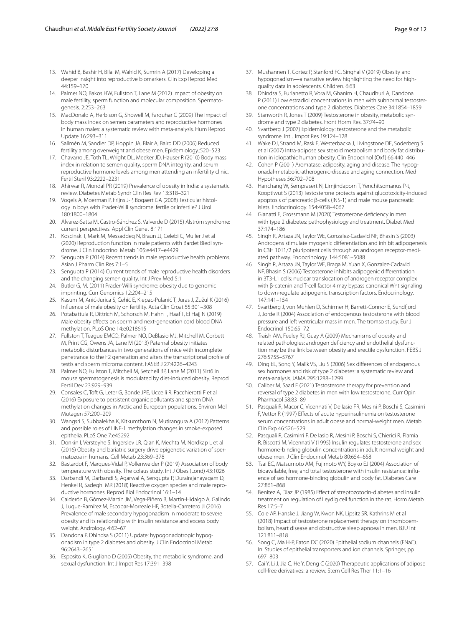- 13. Wahid B, Bashir H, Bilal M, Wahid K, Sumrin A (2017) Developing a deeper insight into reproductive biomarkers. Clin Exp Reprod Med 44:159–170
- <span id="page-8-0"></span>14. Palmer NO, Bakos HW, Fullston T, Lane M (2012) Impact of obesity on male fertility, sperm function and molecular composition. Spermatogenesis. 2:253–263
- <span id="page-8-1"></span>15. MacDonald A, Herbison G, Showell M, Farquhar C (2009) The impact of body mass index on semen parameters and reproductive hormones in human males: a systematic review with meta-analysis. Hum Reprod Update 16:293–311
- <span id="page-8-2"></span>16. Sallmén M, Sandler DP, Hoppin JA, Blair A, Baird DD (2006) Reduced fertility among overweight and obese men. Epidemiology.:520–523
- <span id="page-8-3"></span>17. Chavarro JE, Toth TL, Wright DL, Meeker JD, Hauser R (2010) Body mass index in relation to semen quality, sperm DNA integrity, and serum reproductive hormone levels among men attending an infertility clinic. Fertil Steril 93:2222–2231
- <span id="page-8-4"></span>18. Ahirwar R, Mondal PR (2019) Prevalence of obesity in India: a systematic review. Diabetes Metab Syndr Clin Res Rev 13:318–321
- <span id="page-8-5"></span>19. Vogels A, Moerman P, Frijns J-P, Bogaert GA (2008) Testicular histology in boys with Prader-Willi syndrome: fertile or infertile? J Urol 180:1800–1804
- <span id="page-8-8"></span>20. Álvarez-Satta M, Castro-Sánchez S, Valverde D (2015) Alström syndrome: current perspectives. Appl Clin Genet 8:171
- 21. Koscinski I, Mark M, Messaddeq N, Braun JJ, Celebi C, Muller J et al (2020) Reproduction function in male patients with Bardet Biedl syndrome. J Clin Endocrinol Metab 105:e4417–e4429
- 22. Sengupta P (2014) Recent trends in male reproductive health problems. Asian J Pharm Clin Res 7:1–5
- <span id="page-8-6"></span>23. Sengupta P (2014) Current trends of male reproductive health disorders and the changing semen quality. Int J Prev Med 5:1
- <span id="page-8-7"></span>24. Butler G, M. (2011) Prader-Willi syndrome: obesity due to genomic imprinting. Curr Genomics 12:204–215
- <span id="page-8-9"></span>25. Kasum M, Anić-Jurica S, Čehić E, Klepac-Pulanić T, Juras J, Žužul K (2016) Infuence of male obesity on fertility. Acta Clin Croat 55:301–308
- <span id="page-8-10"></span>26. Potabattula R, Dittrich M, Schorsch M, Hahn T, Haaf T, El Hajj N (2019) Male obesity effects on sperm and next-generation cord blood DNA methylation. PLoS One 14:e0218615
- <span id="page-8-11"></span>27. Fullston T, Teague EMCO, Palmer NO, DeBlasio MJ, Mitchell M, Corbett M, Print CG, Owens JA, Lane M (2013) Paternal obesity initiates metabolic disturbances in two generations of mice with incomplete penetrance to the F2 generation and alters the transcriptional profle of testis and sperm microrna content. FASEB J 27:4226–4243
- <span id="page-8-12"></span>28. Palmer NO, Fullston T, Mitchell M, Setchell BP, Lane M (2011) Sirt6 in mouse spermatogenesis is modulated by diet-induced obesity. Reprod Fertil Dev 23:929–939
- <span id="page-8-13"></span>29. Consales C, Toft G, Leter G, Bonde JPE, Uccelli R, Pacchierotti F et al (2016) Exposure to persistent organic pollutants and sperm DNA methylation changes in Arctic and European populations. Environ Mol Mutagen 57:200–209
- <span id="page-8-14"></span>30. Wangsri S, Subbalekha K, Kitkumthorn N, Mutirangura A (2012) Patterns and possible roles of LINE-1 methylation changes in smoke-exposed epithelia. PLoS One 7:e45292
- <span id="page-8-15"></span>31. Donkin I, Versteyhe S, Ingerslev LR, Qian K, Mechta M, Nordkap L et al (2016) Obesity and bariatric surgery drive epigenetic variation of spermatozoa in humans. Cell Metab 23:369–378
- <span id="page-8-16"></span>32. Bastardot F, Marques-Vidal P, Vollenweider P (2019) Association of body temperature with obesity. The colaus study. Int J Obes (Lond) 43:1026
- <span id="page-8-17"></span>33. Darbandi M, Darbandi S, Agarwal A, Sengupta P, Durairajanayagam D, Henkel R, Sadeghi MR (2018) Reactive oxygen species and male reproductive hormones. Reprod Biol Endocrinol 16:1–14
- <span id="page-8-18"></span>34. Calderón B, Gómez-Martín JM, Vega-Piñero B, Martín-Hidalgo A, Galindo J, Luque-Ramírez M, Escobar-Morreale HF, Botella-Carretero JI (2016) Prevalence of male secondary hypogonadism in moderate to severe obesity and its relationship with insulin resistance and excess body weight. Andrology. 4:62–67
- <span id="page-8-19"></span>35. Dandona P, Dhindsa S (2011) Update: hypogonadotropic hypogonadism in type 2 diabetes and obesity. J Clin Endocrinol Metab 96:2643–2651
- <span id="page-8-20"></span>36. Esposito K, Giugliano D (2005) Obesity, the metabolic syndrome, and sexual dysfunction. Int J Impot Res 17:391–398
- <span id="page-8-21"></span>37. Mushannen T, Cortez P, Stanford FC, Singhal V (2019) Obesity and hypogonadism—a narrative review highlighting the need for highquality data in adolescents. Children. 6:63
- <span id="page-8-22"></span>38. Dhindsa S, Furlanetto R, Vora M, Ghanim H, Chaudhuri A, Dandona P (2011) Low estradiol concentrations in men with subnormal testosterone concentrations and type 2 diabetes. Diabetes Care 34:1854–1859
- <span id="page-8-23"></span>39. Stanworth R, Jones T (2009) Testosterone in obesity, metabolic syndrome and type 2 diabetes. Front Horm Res. 37:74–90
- <span id="page-8-24"></span>Svartberg J (2007) Epidemiology: testosterone and the metabolic syndrome. Int J Impot Res 19:124–128
- <span id="page-8-25"></span>41. Wake DJ, Strand M, Rask E, Westerbacka J, Livingstone DE, Soderberg S et al (2007) Intra-adipose sex steroid metabolism and body fat distribution in idiopathic human obesity. Clin Endocrinol (Oxf) 66:440-446
- <span id="page-8-26"></span>42. Cohen P (2001) Aromatase, adiposity, aging and disease. The hypogonadal-metabolic-atherogenic-disease and aging connection. Med Hypotheses 56:702–708
- <span id="page-8-27"></span>43. Hanchang W, Semprasert N, Limjindaporn T, Yenchitsomanus P-t, Kooptiwut S (2013) Testosterone protects against glucotoxicity-induced apoptosis of pancreatic β-cells (INS-1) and male mouse pancreatic islets. Endocrinology. 154:4058–4067
- <span id="page-8-28"></span>44. Gianatti E, Grossmann M (2020) Testosterone defciency in men with type 2 diabetes: pathophysiology and treatment. Diabet Med 37:174–186
- <span id="page-8-29"></span>45. Singh R, Artaza JN, Taylor WE, Gonzalez-Cadavid NF, Bhasin S (2003) Androgens stimulate myogenic diferentiation and inhibit adipogenesis in C3H 10T1/2 pluripotent cells through an androgen receptor-mediated pathway. Endocrinology. 144:5081–5088
- <span id="page-8-30"></span>Singh R, Artaza JN, Taylor WE, Braga M, Yuan X, Gonzalez-Cadavid NF, Bhasin S (2006) Testosterone inhibits adipogenic diferentiation in 3T3-L1 cells: nuclear translocation of androgen receptor complex with β-catenin and T-cell factor 4 may bypass canonical Wnt signaling to down-regulate adipogenic transcription factors. Endocrinology. 147:141–154
- <span id="page-8-31"></span>47. Svartberg J, von Muhlen D, Schirmer H, Barrett-Connor E, Sundford J, Jorde R (2004) Association of endogenous testosterone with blood pressure and left ventricular mass in men. The tromso study. Eur J Endocrinol 150:65–72
- <span id="page-8-32"></span>48. Traish AM, Feeley RJ, Guay A (2009) Mechanisms of obesity and related pathologies: androgen defciency and endothelial dysfunction may be the link between obesity and erectile dysfunction. FEBS J 276:5755–5767
- <span id="page-8-33"></span>49. Ding EL, Song Y, Malik VS, Liu S (2006) Sex diferences of endogenous sex hormones and risk of type 2 diabetes: a systematic review and meta-analysis. JAMA 295:1288–1299
- <span id="page-8-34"></span>50. Caliber M, Saad F (2021) Testosterone therapy for prevention and reversal of type 2 diabetes in men with low testosterone. Curr Opin Pharmacol 58:83–89
- <span id="page-8-35"></span>51. Pasquali R, Macor C, Vicennati V, De Iasio FR, Mesini P, Boschi S, Casimirri F, Vettor R (1997) Efects of acute hyperinsulinemia on testosterone serum concentrations in adult obese and normal-weight men. Metab Clin Exp 46:526–529
- <span id="page-8-36"></span>52. Pasquali R, Casimirri F, De Iasio R, Mesini P, Boschi S, Chierici R, Flamia R, Biscotti M, Vicennati V (1995) Insulin regulates testosterone and sex hormone-binding globulin concentrations in adult normal weight and obese men. J Clin Endocrinol Metab 80:654–658
- <span id="page-8-37"></span>53. Tsai EC, Matsumoto AM, Fujimoto WY, Boyko EJ (2004) Association of bioavailable, free, and total testosterone with insulin resistance: infuence of sex hormone-binding globulin and body fat. Diabetes Care 27:861–868
- <span id="page-8-38"></span>54. Benitez A, Diaz JP (1985) Efect of streptozotocin-diabetes and insulin treatment on regulation of Leydig cell function in the rat. Horm Metab Res 17:5–7
- <span id="page-8-39"></span>55. Cole AP, Hanske J, Jiang W, Kwon NK, Lipsitz SR, Kathrins M et al (2018) Impact of testosterone replacement therapy on thromboembolism, heart disease and obstructive sleep apnoea in men. BJU Int 121:811–818
- <span id="page-8-40"></span>56. Song C, Ma H-P, Eaton DC (2020) Epithelial sodium channels (ENaC). In: Studies of epithelial transporters and ion channels. Springer, pp 697–803
- <span id="page-8-41"></span>57. Cai Y, Li J, Jia C, He Y, Deng C (2020) Therapeutic applications of adipose cell-free derivatives: a review. Stem Cell Res Ther 11:1–16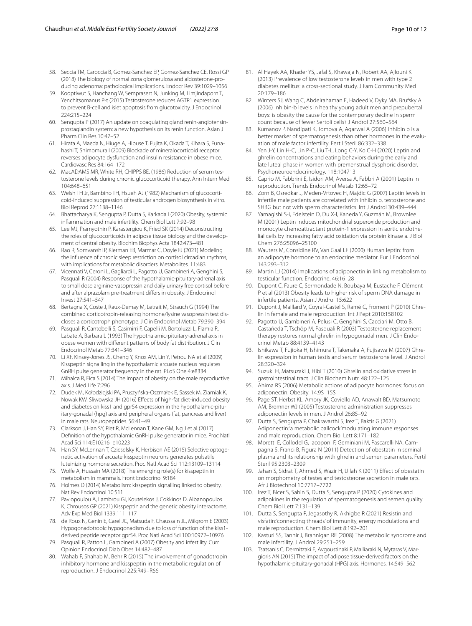- <span id="page-9-0"></span>58. Seccia TM, Caroccia B, Gomez-Sanchez EP, Gomez-Sanchez CE, Rossi GP (2018) The biology of normal zona glomerulosa and aldosterone-producing adenoma: pathological implications. Endocr Rev 39:1029–1056
- <span id="page-9-1"></span>59. Kooptiwut S, Hanchang W, Semprasert N, Junking M, Limjindaporn T, Yenchitsomanus P-t (2015) Testosterone reduces AGTR1 expression to prevent B-cell and islet apoptosis from glucotoxicity. J Endocrinol 224:215–224
- <span id="page-9-2"></span>60. Sengupta P (2017) An update on coagulating gland renin-angiotensinprostaglandin system: a new hypothesis on its renin function. Asian J Pharm Clin Res 10:47–52
- <span id="page-9-3"></span>61. Hirata A, Maeda N, Hiuge A, Hibuse T, Fujita K, Okada T, Kihara S, Funahashi T, Shimomura I (2009) Blockade of mineralocorticoid receptor reverses adipocyte dysfunction and insulin resistance in obese mice. Cardiovasc Res 84:164–172
- <span id="page-9-4"></span>62. MacADAMS MR, White RH, CHIPPS BE. (1986) Reduction of serum testosterone levels during chronic glucocorticoid therapy. Ann Intern Med 104:648–651
- <span id="page-9-5"></span>63. Welsh TH Jr, Bambino TH, Hsueh AJ (1982) Mechanism of glucocorticoid-induced suppression of testicular androgen biosynthesis in vitro. Biol Reprod 27:1138–1146
- <span id="page-9-6"></span>64. Bhattacharya K, Sengupta P, Dutta S, Karkada I (2020) Obesity, systemic infammation and male infertility. Chem Biol Lett 7:92–98
- <span id="page-9-7"></span>65. Lee MJ, Pramyothin P, Karastergiou K, Fried SK (2014) Deconstructing the roles of glucocorticoids in adipose tissue biology and the development of central obesity. Biochim Biophys Acta 1842:473–481
- <span id="page-9-8"></span>66. Rao R, Somvanshi P, Klerman EB, Marmar C, Doyle FJ (2021) Modeling the infuence of chronic sleep restriction on cortisol circadian rhythms, with implications for metabolic disorders. Metabolites. 11:483
- <span id="page-9-9"></span>67. Vicennati V, Ceroni L, Gagliardi L, Pagotto U, Gambineri A, Genghini S, Pasquali R (2004) Response of the hypothalamic-pituitary-adrenal axis to small dose arginine-vasopressin and daily urinary free cortisol before and after alprazolam pre-treatment difers in obesity. J Endocrinol Invest 27:541–547
- <span id="page-9-10"></span>68. Bertagna X, Coste J, Raux-Demay M, Letrait M, Strauch G (1994) The combined corticotropin-releasing hormone/lysine vasopressin test discloses a corticotroph phenotype. J Clin Endocrinol Metab 79:390–394
- <span id="page-9-11"></span>69. Pasquali R, Cantobelli S, Casimirri F, Capelli M, Bortoluzzi L, Flamia R, Labate A, Barbara L (1993) The hypothalamic-pituitary-adrenal axis in obese women with diferent patterns of body fat distribution. J Clin Endocrinol Metab 77:341–346
- <span id="page-9-12"></span>70. Li XF, Kinsey-Jones JS, Cheng Y, Knox AM, Lin Y, Petrou NA et al (2009) Kisspeptin signalling in the hypothalamic arcuate nucleus regulates GnRH pulse generator frequency in the rat. PLoS One 4:e8334
- <span id="page-9-13"></span>71. Mihalca R, Fica S (2014) The impact of obesity on the male reproductive axis. J Med Life 7:296
- <span id="page-9-14"></span>72. Dudek M, Kołodziejski PA, Pruszyńska-Oszmałek E, Sassek M, Ziarniak K, Nowak KW, Sliwowska JH (2016) Efects of high-fat diet-induced obesity and diabetes on kiss1 and gpr54 expression in the hypothalamic-pituitary-gonadal (hpg) axis and peripheral organs (fat, pancreas and liver) in male rats. Neuropeptides. 56:41–49
- <span id="page-9-15"></span>73. Clarkson J, Han SY, Piet R, McLennan T, Kane GM, Ng J et al (2017) Defnition of the hypothalamic GnRH pulse generator in mice. Proc Natl Acad Sci 114:E10216–e10223
- <span id="page-9-16"></span>74. Han SY, McLennan T, Czieselsky K, Herbison AE (2015) Selective optogenetic activation of arcuate kisspeptin neurons generates pulsatile luteinizing hormone secretion. Proc Natl Acad Sci 112:13109–13114
- <span id="page-9-17"></span>75. Wolfe A, Hussain MA (2018) The emerging role(s) for kisspeptin in metabolism in mammals. Front Endocrinol 9:184
- <span id="page-9-18"></span>76. Holmes D (2014) Metabolism: kisspeptin signalling linked to obesity. Nat Rev Endocrinol 10:511
- <span id="page-9-19"></span>77. Pavlopoulou A, Lambrou GI, Koutelekos J, Cokkinos D, Albanopoulos K, Chrousos GP (2021) Kisspeptin and the genetic obesity interactome. Adv Exp Med Biol 1339:111–117
- <span id="page-9-20"></span>78. de Roux N, Genin E, Carel JC, Matsuda F, Chaussain JL, Milgrom E (2003) Hypogonadotropic hypogonadism due to loss of function of the kiss1 derived peptide receptor gpr54. Proc Natl Acad Sci 100:10972–10976
- <span id="page-9-21"></span>79. Pasquali R, Patton L, Gambineri A (2007) Obesity and infertility. Curr Opinion Endocrinol Diab Obes 14:482–487
- <span id="page-9-22"></span>80. Wahab F, Shahab M, Behr R (2015) The involvement of gonadotropin inhibitory hormone and kisspeptin in the metabolic regulation of reproduction. J Endocrinol 225:R49–R66
- <span id="page-9-23"></span>81. Al Hayek AA, Khader YS, Jafal S, Khawaja N, Robert AA, Ajlouni K (2013) Prevalence of low testosterone levels in men with type 2 diabetes mellitus: a cross-sectional study. J Fam Community Med 20:179–186
- <span id="page-9-24"></span>82. Winters SJ, Wang C, Abdelrahaman E, Hadeed V, Dyky MA, Brufsky A (2006) Inhibin-b levels in healthy young adult men and prepubertal boys: is obesity the cause for the contemporary decline in sperm count because of fewer Sertoli cells? J Androl 27:560–564
- <span id="page-9-25"></span>83. Kumanov P, Nandipati K, Tomova A, Agarwal A (2006) Inhibin b is a better marker of spermatogenesis than other hormones in the evaluation of male factor infertility. Fertil Steril 86:332–338
- <span id="page-9-26"></span>84. Yen J-Y, Lin H-C, Lin P-C, Liu T-L, Long C-Y, Ko C-H (2020) Leptin and ghrelin concentrations and eating behaviors during the early and late luteal phase in women with premenstrual dysphoric disorder. Psychoneuroendocrinology. 118:104713
- <span id="page-9-27"></span>Caprio M, Fabbrini E, Isidori AM, Aversa A, Fabbri A (2001) Leptin in reproduction. Trends Endocrinol Metab 12:65–72
- <span id="page-9-28"></span>86. Zorn B, Osredkar J, Meden-Vrtovec H, Majdic G (2007) Leptin levels in infertile male patients are correlated with inhibin b, testosterone and SHBG but not with sperm characteristics. Int J Androl 30:439–444
- <span id="page-9-29"></span>87. Yamagishi S-i, Edelstein D, Du X-l, Kaneda Y, Guzmán M, Brownlee M (2001) Leptin induces mitochondrial superoxide production and monocyte chemoattractant protein-1 expression in aortic endothelial cells by increasing fatty acid oxidation via protein kinase a. J Biol Chem 276:25096–25100
- <span id="page-9-30"></span>88. Wauters M, Considine RV, Van Gaal LF (2000) Human leptin: from an adipocyte hormone to an endocrine mediator. Eur J Endocrinol 143:293–312
- <span id="page-9-31"></span>89. Martin LJ (2014) Implications of adiponectin in linking metabolism to testicular function. Endocrine. 46:16–28
- <span id="page-9-32"></span>Dupont C, Faure C, Sermondade N, Boubaya M, Eustache F, Clément P et al (2013) Obesity leads to higher risk of sperm DNA damage in infertile patients. Asian J Androl 15:622
- <span id="page-9-33"></span>91. Dupont J, Maillard V, Coyral-Castel S, Ramé C, Froment P (2010) Ghrelin in female and male reproduction. Int J Pept 2010:158102
- <span id="page-9-34"></span>Pagotto U, Gambineri A, Pelusi C, Genghini S, Cacciari M, Otto B, Castañeda T, Tschöp M, Pasquali R (2003) Testosterone replacement therapy restores normal ghrelin in hypogonadal men. J Clin Endocrinol Metab 88:4139–4143
- <span id="page-9-35"></span>93. Ishikawa T, Fujioka H, Ishimura T, Takenaka A, Fujisawa M (2007) Ghrelin expression in human testis and serum testosterone level. J Androl 28:320–324
- <span id="page-9-36"></span>Suzuki H, Matsuzaki J, Hibi T (2010) Ghrelin and oxidative stress in gastrointestinal tract. J Clin Biochem Nutr. 48:122–125
- <span id="page-9-37"></span>95. Ahima RS (2006) Metabolic actions of adipocyte hormones: focus on adiponectin. Obesity. 14:9S–15S
- <span id="page-9-38"></span>96. Page ST, Herbst KL, Amory JK, Coviello AD, Anawalt BD, Matsumoto AM, Bremner WJ (2005) Testosterone administration suppresses adiponectin levels in men. J Androl 26:85–92
- <span id="page-9-39"></span>97. Dutta S, Sengupta P, Chakravarthi S, Irez T, Baktir G (2021) Adiponectin:'a metabolic ballcock'modulating immune responses and male reproduction. Chem Biol Lett 8:171–182
- <span id="page-9-40"></span>98. Moretti E, Collodel G, Iacoponi F, Geminiani M, Pascarelli NA, Campagna S, Franci B, Figura N (2011) Detection of obestatin in seminal plasma and its relationship with ghrelin and semen parameters. Fertil Steril 95:2303–2309
- <span id="page-9-41"></span>99. Jahan S, Sidrat T, Ahmed S, Wazir H, Ullah K (2011) Efect of obestatin on morphometry of testes and testosterone secretion in male rats. Afr J Biotechnol 10:7717–7722
- <span id="page-9-42"></span>100. Irez T, Bicer S, Sahin S, Dutta S, Sengupta P (2020) Cytokines and adipokines in the regulation of spermatogenesis and semen quality. Chem Biol Lett 7:131–139
- <span id="page-9-43"></span>101. Dutta S, Sengupta P, Jegasothy R, Akhigbe R (2021) Resistin and visfatin:'connecting threads' of immunity, energy modulations and male reproduction. Chem Biol Lett 8:192–201
- <span id="page-9-44"></span>102. Kasturi SS, Tannir J, Brannigan RE (2008) The metabolic syndrome and male infertility. J Androl 29:251–259
- <span id="page-9-45"></span>103. Tsatsanis C, Dermitzaki E, Avgoustinaki P, Malliaraki N, Mytaras V, Margioris AN (2015) The impact of adipose tissue-derived factors on the hypothalamic-pituitary-gonadal (HPG) axis. Hormones. 14:549–562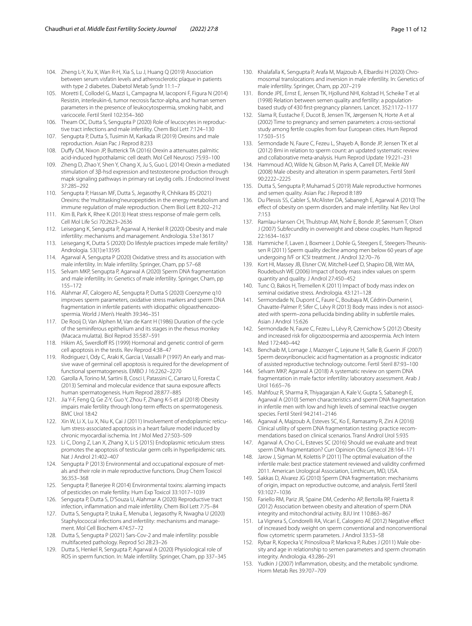- <span id="page-10-0"></span>104. Zheng L-Y, Xu X, Wan R-H, Xia S, Lu J, Huang Q (2019) Association between serum visfatin levels and atherosclerotic plaque in patients with type 2 diabetes. Diabetol Metab Syndr 11:1–7
- <span id="page-10-1"></span>105. Moretti E, Collodel G, Mazzi L, Campagna M, Iacoponi F, Figura N (2014) Resistin, interleukin-6, tumor necrosis factor-alpha, and human semen parameters in the presence of leukocytospermia, smoking habit, and varicocele. Fertil Steril 102:354–360
- <span id="page-10-2"></span>106. Theam OC, Dutta S, Sengupta P (2020) Role of leucocytes in reproductive tract infections and male infertility. Chem Biol Lett 7:124–130
- <span id="page-10-3"></span>107. Sengupta P, Dutta S, Tusimin M, Karkada IR (2019) Orexins and male reproduction. Asian Pac J Reprod 8:233
- <span id="page-10-4"></span>108. Dufy CM, Nixon JP, Butterick TA (2016) Orexin a attenuates palmitic acid-induced hypothalamic cell death. Mol Cell Neurosci 75:93–100
- <span id="page-10-5"></span>109. Zheng D, Zhao Y, Shen Y, Chang X, Ju S, Guo L (2014) Orexin a-mediated stimulation of 3β-hsd expression and testosterone production through mapk signaling pathways in primary rat Leydig cells. J Endocrinol Invest 37:285–292
- <span id="page-10-6"></span>110. Sengupta P, Hassan MF, Dutta S, Jegasothy R, Chhikara BS (2021) Orexins: the 'multitasking'neuropeptides in the energy metabolism and immune regulation of male reproduction. Chem Biol Lett 8:202–212
- <span id="page-10-7"></span>111. Kim B, Park K, Rhee K (2013) Heat stress response of male germ cells. Cell Mol Life Sci 70:2623–2636
- <span id="page-10-8"></span>112. Leisegang K, Sengupta P, Agarwal A, Henkel R (2020) Obesity and male infertility: mechanisms and management. Andrologia. 53:e13617
- <span id="page-10-9"></span>113. Leisegang K, Dutta S (2020) Do lifestyle practices impede male fertility? Andrologia. 53(1):e13595
- <span id="page-10-10"></span>114. Agarwal A, Sengupta P (2020) Oxidative stress and its association with male infertility. In: Male infertility. Springer, Cham, pp 57–68
- <span id="page-10-11"></span>115. Selvam MKP, Sengupta P, Agarwal A (2020) Sperm DNA fragmentation and male infertility. In: Genetics of male infertility. Springer, Cham, pp 155–172
- <span id="page-10-12"></span>116. Alahmar AT, Calogero AE, Sengupta P, Dutta S (2020) Coenzyme q10 improves sperm parameters, oxidative stress markers and sperm DNA fragmentation in infertile patients with idiopathic oligoasthenozoospermia. World J Men's Health 39:346–351
- <span id="page-10-13"></span>117. De Rooij D, Van Alphen M, Van de Kant H (1986) Duration of the cycle of the seminiferous epithelium and its stages in the rhesus monkey (Macaca mulatta). Biol Reprod 35:587–591
- <span id="page-10-14"></span>118. Hikim AS, Swerdloff RS (1999) Hormonal and genetic control of germ cell apoptosis in the testis. Rev Reprod 4:38–47
- <span id="page-10-15"></span>119. Rodriguez I, Ody C, Araki K, Garcia I, Vassalli P (1997) An early and massive wave of germinal cell apoptosis is required for the development of functional spermatogenesis. EMBO J 16:2262–2270
- <span id="page-10-16"></span>120. Garolla A, Torino M, Sartini B, Cosci I, Patassini C, Carraro U, Foresta C (2013) Seminal and molecular evidence that sauna exposure afects human spermatogenesis. Hum Reprod 28:877–885
- <span id="page-10-17"></span>121. Jia Y-F, Feng Q, Ge Z-Y, Guo Y, Zhou F, Zhang K-S et al (2018) Obesity impairs male fertility through long-term efects on spermatogenesis. BMC Urol 18:42
- <span id="page-10-18"></span>122. Xin W, Li X, Lu X, Niu K, Cai J (2011) Involvement of endoplasmic reticulum stress-associated apoptosis in a heart failure model induced by chronic myocardial ischemia. Int J Mol Med 27:503–509
- <span id="page-10-19"></span>123. Li C, Dong Z, Lan X, Zhang X, Li S (2015) Endoplasmic reticulum stress promotes the apoptosis of testicular germ cells in hyperlipidemic rats. Nat J Androl 21:402–407
- <span id="page-10-20"></span>124. Sengupta P (2013) Environmental and occupational exposure of metals and their role in male reproductive functions. Drug Chem Toxicol 36:353–368
- 125. Sengupta P, Banerjee R (2014) Environmental toxins: alarming impacts of pesticides on male fertility. Hum Exp Toxicol 33:1017–1039
- 126. Sengupta P, Dutta S, D'Souza U, Alahmar A (2020) Reproductive tract infection, infammation and male infertility. Chem Biol Lett 7:75–84
- 127. Dutta S, Sengupta P, Izuka E, Menuba I, Jegasothy R, Nwagha U (2020) Staphylococcal infections and infertility: mechanisms and management. Mol Cell Biochem 474:57–72
- <span id="page-10-21"></span>128. Dutta S, Sengupta P (2021) Sars-Cov-2 and male infertility: possible multifaceted pathology. Reprod Sci 28:23–26
- <span id="page-10-22"></span>129. Dutta S, Henkel R, Sengupta P, Agarwal A (2020) Physiological role of ROS in sperm function. In: Male infertility. Springer, Cham, pp 337–345
- <span id="page-10-23"></span>130. Khalafalla K, Sengupta P, Arafa M, Majzoub A, Elbardisi H (2020) Chromosomal translocations and inversion in male infertility. In: Genetics of male infertility. Springer, Cham, pp 207–219
- <span id="page-10-24"></span>131. Bonde JPE, Ernst E, Jensen TK, Hjollund NHI, Kolstad H, Scheike T et al (1998) Relation between semen quality and fertility: a populationbased study of 430 frst-pregnancy planners. Lancet. 352:1172–1177
- <span id="page-10-25"></span>132. Slama R, Eustache F, Ducot B, Jensen TK, Jørgensen N, Horte A et al (2002) Time to pregnancy and semen parameters: a cross-sectional study among fertile couples from four European cities. Hum Reprod 17:503–515
- <span id="page-10-26"></span>133. Sermondade N, Faure C, Fezeu L, Shayeb A, Bonde JP, Jensen TK et al (2012) Bmi in relation to sperm count: an updated systematic review and collaborative meta-analysis. Hum Reprod Update 19:221–231
- <span id="page-10-27"></span>134. Hammoud AO, Wilde N, Gibson M, Parks A, Carrell DT, Meikle AW (2008) Male obesity and alteration in sperm parameters. Fertil Steril 90:2222–2225
- <span id="page-10-28"></span>135. Dutta S, Sengupta P, Muhamad S (2019) Male reproductive hormones and semen quality. Asian Pac J Reprod 8:189
- <span id="page-10-29"></span>136. Du Plessis SS, Cabler S, McAlister DA, Sabanegh E, Agarwal A (2010) The efect of obesity on sperm disorders and male infertility. Nat Rev Urol 7:153
- <span id="page-10-30"></span>137. Ramlau-Hansen CH, Thulstrup AM, Nohr E, Bonde JP, Sørensen T, Olsen J (2007) Subfecundity in overweight and obese couples. Hum Reprod 22:1634–1637
- <span id="page-10-31"></span>138. Hammiche F, Laven J, Boxmeer J, Dohle G, Steegers E, Steegers-Theunissen R (2011) Sperm quality decline among men below 60 years of age undergoing IVF or ICSI treatment. J Androl 32:70–76
- <span id="page-10-39"></span>139. Kort HI, Massey JB, Elsner CW, Mitchell-Leef D, Shapiro DB, Witt MA, Roudebush WE (2006) Impact of body mass index values on sperm quantity and quality. J Androl 27:450–452
- 140. Tunc O, Bakos H, Tremellen K (2011) Impact of body mass index on seminal oxidative stress. Andrologia. 43:121–128
- 141. Sermondade N, Dupont C, Faure C, Boubaya M, Cédrin-Durnerin I, Chavatte-Palmer P, Sifer C, Lévy R (2013) Body mass index is not associated with sperm–zona pellucida binding ability in subfertile males. Asian J Androl 15:626
- <span id="page-10-32"></span>142. Sermondade N, Faure C, Fezeu L, Lévy R, Czernichow S (2012) Obesity and increased risk for oligozoospermia and azoospermia. Arch Intern Med 172:440–442
- <span id="page-10-33"></span>143. Benchaib M, Lornage J, Mazoyer C, Lejeune H, Salle B, Guerin JF (2007) Sperm deoxyribonucleic acid fragmentation as a prognostic indicator of assisted reproductive technology outcome. Fertil Steril 87:93–100
- <span id="page-10-34"></span>144. Selvam MKP, Agarwal A (2018) A systematic review on sperm DNA fragmentation in male factor infertility: laboratory assessment. Arab J Urol 16:65–76
- 145. Mahfouz R, Sharma R, Thiyagarajan A, Kale V, Gupta S, Sabanegh E, Agarwal A (2010) Semen characteristics and sperm DNA fragmentation in infertile men with low and high levels of seminal reactive oxygen species. Fertil Steril 94:2141–2146
- <span id="page-10-37"></span>146. Agarwal A, Majzoub A, Esteves SC, Ko E, Ramasamy R, Zini A (2016) Clinical utility of sperm DNA fragmentation testing: practice recommendations based on clinical scenarios. Transl Androl Urol 5:935
- <span id="page-10-35"></span>147. Agarwal A, Cho C-L, Esteves SC (2016) Should we evaluate and treat sperm DNA fragmentation? Curr Opinion Obs Gynecol 28:164–171
- <span id="page-10-36"></span>148. Jarow J, Sigman M, Kolettis P (2011) The optimal evaluation of the infertile male: best practice statement reviewed and validity confrmed 2011. American Urological Association, Linthicum, MD, USA.
- <span id="page-10-38"></span>149. Sakkas D, Alvarez JG (2010) Sperm DNA fragmentation: mechanisms of origin, impact on reproductive outcome, and analysis. Fertil Steril 93:1027–1036
- <span id="page-10-40"></span>150. Fariello RM, Pariz JR, Spaine DM, Cedenho AP, Bertolla RP, Fraietta R (2012) Association between obesity and alteration of sperm DNA integrity and mitochondrial activity. BJU Int 110:863–867
- <span id="page-10-41"></span>151. La Vignera S, Condorelli RA, Vicari E, Calogero AE (2012) Negative efect of increased body weight on sperm conventional and nonconventional fow cytometric sperm parameters. J Androl 33:53–58
- <span id="page-10-42"></span>152. Rybar R, Kopecka V, Prinosilova P, Markova P, Rubes J (2011) Male obesity and age in relationship to semen parameters and sperm chromatin integrity. Andrologia. 43:286–291
- <span id="page-10-43"></span>153. Yudkin J (2007) Infammation, obesity, and the metabolic syndrome. Horm Metab Res 39:707–709